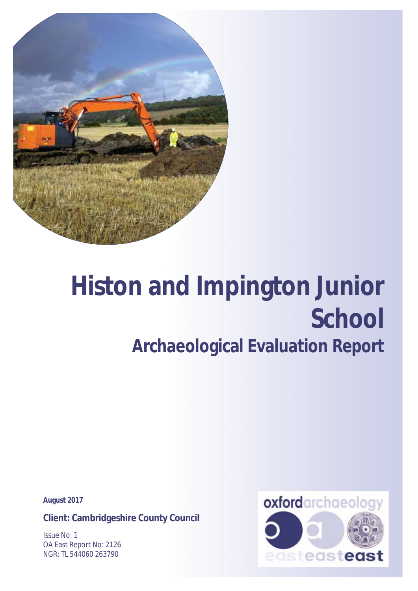

# **Histon and Impington Junior School Archaeological Evaluation Report**

**August 2017** 

**Client: Cambridgeshire County Council** 

Issue No: 1 OA East Report No: 2126 NGR: TL 544060 263790

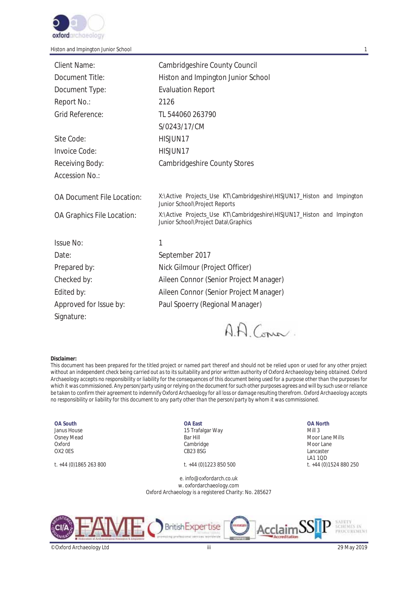

| Client Name:               | Cambridgeshire County Council                                                                                 |
|----------------------------|---------------------------------------------------------------------------------------------------------------|
| Document Title:            | Histon and Impington Junior School                                                                            |
| Document Type:             | <b>Evaluation Report</b>                                                                                      |
| Report No.:                | 2126                                                                                                          |
| Grid Reference:            | TL 544060 263790                                                                                              |
|                            | S/0243/17/CM                                                                                                  |
| Site Code:                 | HISJUN17                                                                                                      |
| Invoice Code:              | HISJUN17                                                                                                      |
| Receiving Body:            | <b>Cambridgeshire County Stores</b>                                                                           |
| Accession No.:             |                                                                                                               |
| OA Document File Location: | X:\Active Projects_Use KT\Cambridgeshire\HISJUN17_Histon and Impington<br>Junior School\Project Reports       |
| OA Graphics File Location: | X:\Active Projects_Use KT\Cambridgeshire\HISJUN17_Histon and Impington<br>Junior School\Project Data\Graphics |
| <b>Issue No:</b>           | 1                                                                                                             |
| Date:                      | September 2017                                                                                                |
| Prepared by:               | Nick Gilmour (Project Officer)                                                                                |
| Checked by:                | Aileen Connor (Senior Project Manager)                                                                        |
| Edited by:                 | Aileen Connor (Senior Project Manager)                                                                        |
| Approved for Issue by:     | Paul Spoerry (Regional Manager)                                                                               |
| Signature:                 |                                                                                                               |

AA Comm.

#### *Disclaimer:*

*This document has been prepared for the titled project or named part thereof and should not be relied upon or used for any other project without an independent check being carried out as to its suitability and prior written authority of Oxford Archaeology being obtained. Oxford Archaeology accepts no responsibility or liability for the consequences of this document being used for a purpose other than the purposes for*  which it was commissioned. Any person/party using or relying on the document for such other purposes agrees and will by such use or reliance *be taken to confirm their agreement to indemnify Oxford Archaeology for all loss or damage resulting therefrom. Oxford Archaeology accepts no responsibility or liability for this document to any party other than the person/party by whom it was commissioned.* 

#### **OA South** Janus House Osney Mead Oxford OX2 0ES

#### **OA East** 15 Trafalgar Way Bar Hill Cambridge CB23 8SG

#### e. info@oxfordarch.co.uk w. oxfordarchaeology.com Oxford Archaeology is a registered Charity: No. 285627

#### **OA North**

Mill 3 Moor Lane Mills Moor Lane Lancaster LA1 1QD t. +44 (0)1865 263 800 t. +44 (0)1223 850 500 t. +44 (0)1524 880 250



©Oxford Archaeology Ltd iii 29 May 2019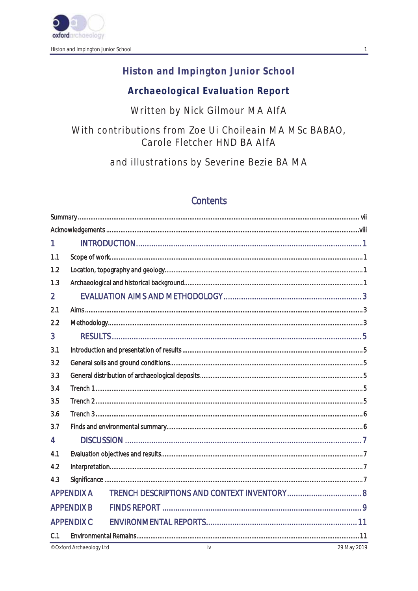

# Histon and Impington Junior School

# **Archaeological Evaluation Report**

Written by Nick Gilmour MA AlfA

With contributions from Zoe Ui Choileain MA MSc BABAO, Carole Fletcher HND BA AlfA

and illustrations by Severine Bezie BA MA

# Contents

| <b>APPENDIX C</b> |                                        |  |  |  |  |
|-------------------|----------------------------------------|--|--|--|--|
|                   |                                        |  |  |  |  |
|                   | <b>APPENDIX A</b><br><b>APPENDIX B</b> |  |  |  |  |

© Oxford Archaeology Ltd

 $\mathbf{1}$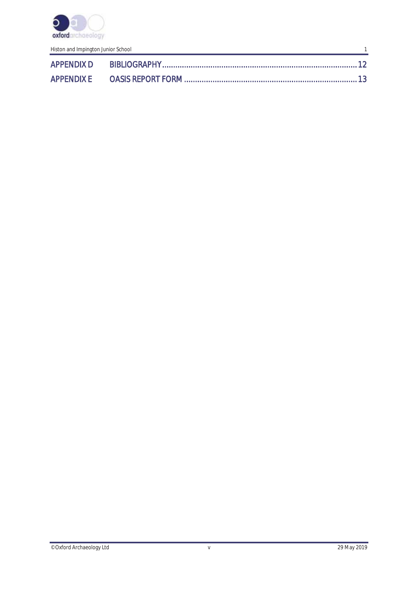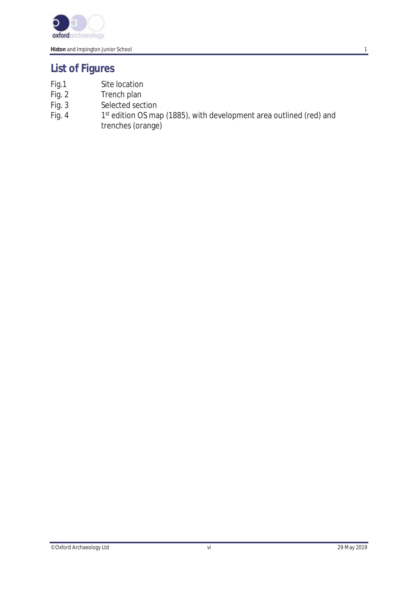

# **List of Figures**

- 
- Fig.1 Site location<br>Fig. 2 Trench plan
- Fig. 2 Trench plan<br>Fig. 3 Selected sec
- Fig. 3 Selected section<br>Fig. 4 1<sup>st</sup> edition OS ma 1st edition OS map (1885), with development area outlined (red) and trenches (orange)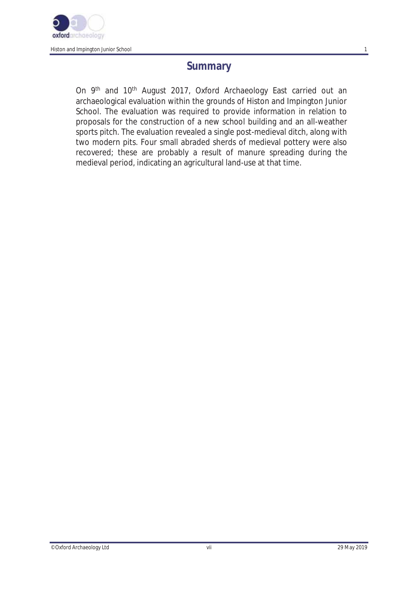

# **Summary**

On 9<sup>th</sup> and 10<sup>th</sup> August 2017, Oxford Archaeology East carried out an archaeological evaluation within the grounds of Histon and Impington Junior School. The evaluation was required to provide information in relation to proposals for the construction of a new school building and an all-weather sports pitch. The evaluation revealed a single post-medieval ditch, along with two modern pits. Four small abraded sherds of medieval pottery were also recovered; these are probably a result of manure spreading during the medieval period, indicating an agricultural land-use at that time.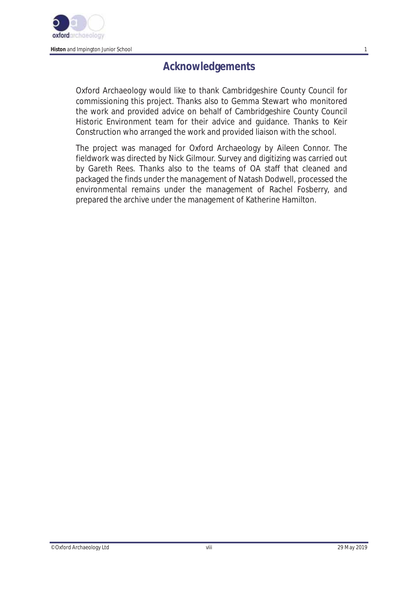

# **Acknowledgements**

Oxford Archaeology would like to thank Cambridgeshire County Council for commissioning this project. Thanks also to Gemma Stewart who monitored the work and provided advice on behalf of Cambridgeshire County Council Historic Environment team for their advice and guidance. Thanks to Keir Construction who arranged the work and provided liaison with the school.

The project was managed for Oxford Archaeology by Aileen Connor. The fieldwork was directed by Nick Gilmour. Survey and digitizing was carried out by Gareth Rees. Thanks also to the teams of OA staff that cleaned and packaged the finds under the management of Natash Dodwell, processed the environmental remains under the management of Rachel Fosberry, and prepared the archive under the management of Katherine Hamilton.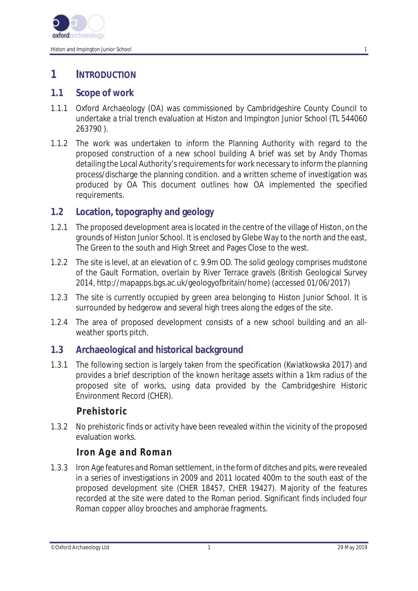

# **1 INTRODUCTION**

#### **1.1 Scope of work**

- 1.1.1 Oxford Archaeology (OA) was commissioned by Cambridgeshire County Council to undertake a trial trench evaluation at Histon and Impington Junior School (TL 544060 263790 ).
- 1.1.2 The work was undertaken to inform the Planning Authority with regard to the proposed construction of a new school building A brief was set by Andy Thomas detailing the Local Authority's requirements for work necessary to inform the planning process/discharge the planning condition. and a written scheme of investigation was produced by OA This document outlines how OA implemented the specified requirements.

## **1.2 Location, topography and geology**

- 1.2.1 The proposed development area is located in the centre of the village of Histon, on the grounds of Histon Junior School. It is enclosed by Glebe Way to the north and the east, The Green to the south and High Street and Pages Close to the west.
- 1.2.2 The site is level, at an elevation of c. 9.9m OD. The solid geology comprises mudstone of the Gault Formation, overlain by River Terrace gravels (British Geological Survey 2014, http://mapapps.bgs.ac.uk/geologyofbritain/home) (accessed 01/06/2017)
- 1.2.3 The site is currently occupied by green area belonging to Histon Junior School. It is surrounded by hedgerow and several high trees along the edges of the site.
- 1.2.4 The area of proposed development consists of a new school building and an allweather sports pitch.

## **1.3 Archaeological and historical background**

1.3.1 The following section is largely taken from the specification (Kwiatkowska 2017) and provides a brief description of the known heritage assets within a 1km radius of the proposed site of works, using data provided by the Cambridgeshire Historic Environment Record (CHER).

# *Prehistoric*

1.3.2 No prehistoric finds or activity have been revealed within the vicinity of the proposed evaluation works.

# *Iron Age and Roman*

1.3.3 Iron Age features and Roman settlement, in the form of ditches and pits, were revealed in a series of investigations in 2009 and 2011 located 400m to the south east of the proposed development site (CHER 18457, CHER 19427). Majority of the features recorded at the site were dated to the Roman period. Significant finds included four Roman copper alloy brooches and amphorae fragments.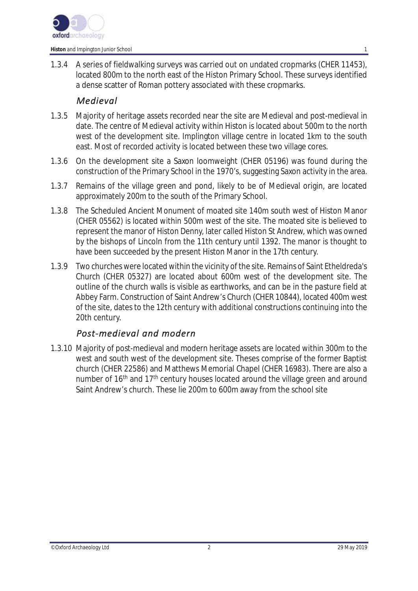

1.3.4 A series of fieldwalking surveys was carried out on undated cropmarks (CHER 11453), located 800m to the north east of the Histon Primary School. These surveys identified a dense scatter of Roman pottery associated with these cropmarks.

#### *Medieval*

- 1.3.5 Majority of heritage assets recorded near the site are Medieval and post-medieval in date. The centre of Medieval activity within Histon is located about 500m to the north west of the development site. Implington village centre in located 1km to the south east. Most of recorded activity is located between these two village cores.
- 1.3.6 On the development site a Saxon loomweight (CHER 05196) was found during the construction of the Primary School in the 1970's, suggesting Saxon activity in the area.
- 1.3.7 Remains of the village green and pond, likely to be of Medieval origin, are located approximately 200m to the south of the Primary School.
- 1.3.8 The Scheduled Ancient Monument of moated site 140m south west of Histon Manor (CHER 05562) is located within 500m west of the site. The moated site is believed to represent the manor of Histon Denny, later called Histon St Andrew, which was owned by the bishops of Lincoln from the 11th century until 1392. The manor is thought to have been succeeded by the present Histon Manor in the 17th century.
- 1.3.9 Two churches were located within the vicinity of the site. Remains of Saint Etheldreda's Church (CHER 05327) are located about 600m west of the development site. The outline of the church walls is visible as earthworks, and can be in the pasture field at Abbey Farm. Construction of Saint Andrew's Church (CHER 10844), located 400m west of the site, dates to the 12th century with additional constructions continuing into the 20th century.

## *Post-medieval and modern*

1.3.10 Majority of post-medieval and modern heritage assets are located within 300m to the west and south west of the development site. Theses comprise of the former Baptist church (CHER 22586) and Matthews Memorial Chapel (CHER 16983). There are also a number of 16<sup>th</sup> and 17<sup>th</sup> century houses located around the village green and around Saint Andrew's church. These lie 200m to 600m away from the school site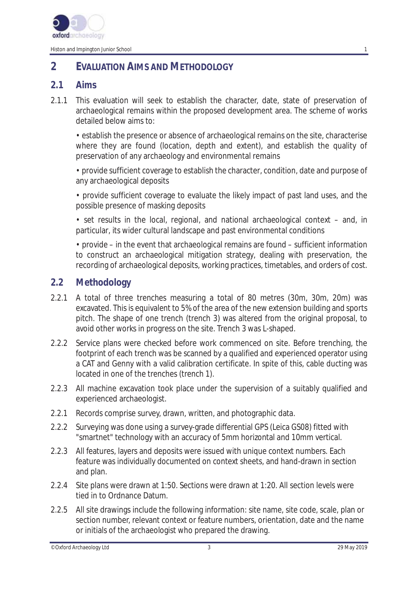

# **2 EVALUATION AIMS AND METHODOLOGY**

## **2.1 Aims**

2.1.1 This evaluation will seek to establish the character, date, state of preservation of archaeological remains within the proposed development area. The scheme of works detailed below aims to:

• establish the presence or absence of archaeological remains on the site, characterise where they are found (location, depth and extent), and establish the quality of preservation of any archaeology and environmental remains

• provide sufficient coverage to establish the character, condition, date and purpose of any archaeological deposits

• provide sufficient coverage to evaluate the likely impact of past land uses, and the possible presence of masking deposits

• set results in the local, regional, and national archaeological context – and, in particular, its wider cultural landscape and past environmental conditions

• provide – in the event that archaeological remains are found – sufficient information to construct an archaeological mitigation strategy, dealing with preservation, the recording of archaeological deposits, working practices, timetables, and orders of cost.

## **2.2 Methodology**

- 2.2.1 A total of three trenches measuring a total of 80 metres (30m, 30m, 20m) was excavated. This is equivalent to 5% of the area of the new extension building and sports pitch. The shape of one trench (trench 3) was altered from the original proposal, to avoid other works in progress on the site. Trench 3 was L-shaped.
- 2.2.2 Service plans were checked before work commenced on site. Before trenching, the footprint of each trench was be scanned by a qualified and experienced operator using a CAT and Genny with a valid calibration certificate. In spite of this, cable ducting was located in one of the trenches (trench 1).
- 2.2.3 All machine excavation took place under the supervision of a suitably qualified and experienced archaeologist.
- 2.2.1 Records comprise survey, drawn, written, and photographic data.
- 2.2.2 Surveying was done using a survey-grade differential GPS (Leica GS08) fitted with "smartnet" technology with an accuracy of 5mm horizontal and 10mm vertical.
- 2.2.3 All features, layers and deposits were issued with unique context numbers. Each feature was individually documented on context sheets, and hand-drawn in section and plan.
- 2.2.4 Site plans were drawn at 1:50. Sections were drawn at 1:20. All section levels were tied in to Ordnance Datum.
- 2.2.5 All site drawings include the following information: site name, site code, scale, plan or section number, relevant context or feature numbers, orientation, date and the name or initials of the archaeologist who prepared the drawing.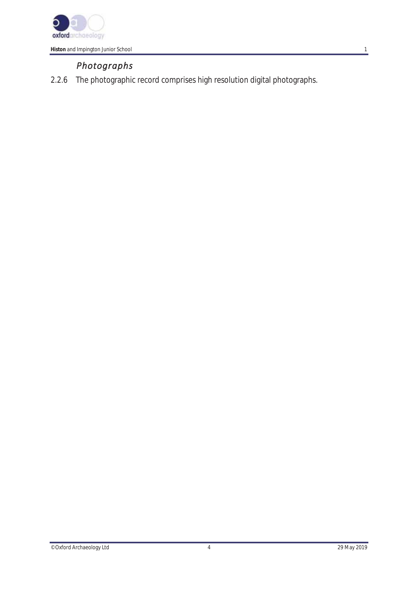

# *Photographs*

2.2.6 The photographic record comprises high resolution digital photographs.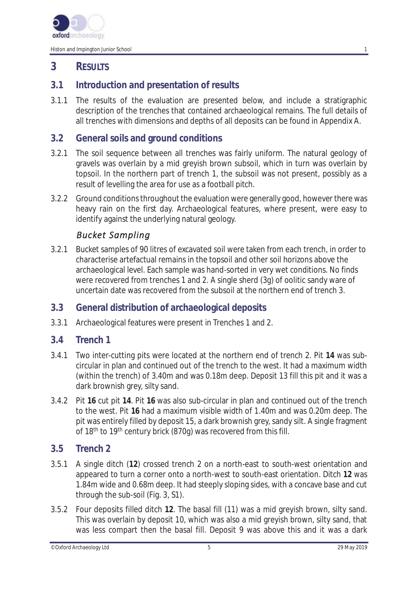

# **3 RESULTS**

# **3.1 Introduction and presentation of results**

3.1.1 The results of the evaluation are presented below, and include a stratigraphic description of the trenches that contained archaeological remains. The full details of all trenches with dimensions and depths of all deposits can be found in Appendix A.

## **3.2 General soils and ground conditions**

- 3.2.1 The soil sequence between all trenches was fairly uniform. The natural geology of gravels was overlain by a mid greyish brown subsoil, which in turn was overlain by topsoil. In the northern part of trench 1, the subsoil was not present, possibly as a result of levelling the area for use as a football pitch.
- 3.2.2 Ground conditions throughout the evaluation were generally good, however there was heavy rain on the first day. Archaeological features, where present, were easy to identify against the underlying natural geology.

## *Bucket Sampling*

3.2.1 Bucket samples of 90 litres of excavated soil were taken from each trench, in order to characterise artefactual remains in the topsoil and other soil horizons above the archaeological level. Each sample was hand-sorted in very wet conditions. No finds were recovered from trenches 1 and 2. A single sherd (3g) of oolitic sandy ware of uncertain date was recovered from the subsoil at the northern end of trench 3.

## **3.3 General distribution of archaeological deposits**

3.3.1 Archaeological features were present in Trenches 1 and 2.

## **3.4 Trench 1**

- 3.4.1 Two inter-cutting pits were located at the northern end of trench 2. Pit **14** was subcircular in plan and continued out of the trench to the west. It had a maximum width (within the trench) of 3.40m and was 0.18m deep. Deposit 13 fill this pit and it was a dark brownish grey, silty sand.
- 3.4.2 Pit **16** cut pit **14**. Pit **16** was also sub-circular in plan and continued out of the trench to the west. Pit **16** had a maximum visible width of 1.40m and was 0.20m deep. The pit was entirely filled by deposit 15, a dark brownish grey, sandy silt. A single fragment of 18<sup>th</sup> to 19<sup>th</sup> century brick (870g) was recovered from this fill.

## **3.5 Trench 2**

- 3.5.1 A single ditch (**12**) crossed trench 2 on a north-east to south-west orientation and appeared to turn a corner onto a north-west to south-east orientation. Ditch **12** was 1.84m wide and 0.68m deep. It had steeply sloping sides, with a concave base and cut through the sub-soil (Fig. 3, S1).
- 3.5.2 Four deposits filled ditch **12**. The basal fill (11) was a mid greyish brown, silty sand. This was overlain by deposit 10, which was also a mid greyish brown, silty sand, that was less compart then the basal fill. Deposit 9 was above this and it was a dark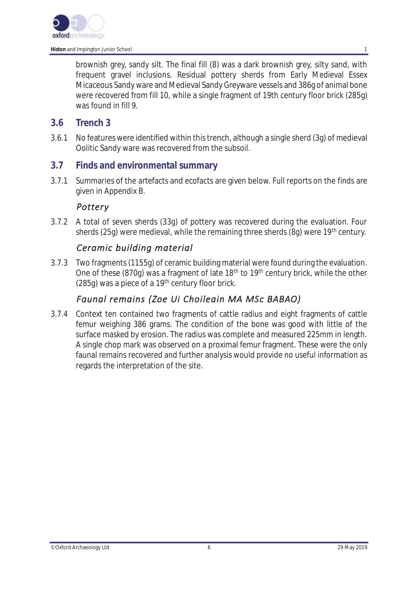

brownish grey, sandy silt. The final fill (8) was a dark brownish grey, silty sand, with frequent gravel inclusions. Residual pottery sherds from Early Medieval Essex Micaceous Sandy ware and Medieval Sandy Greyware vessels and 386g of animal bone were recovered from fill 10, while a single fragment of 19th century floor brick (285g) was found in fill 9.

#### **3.6 Trench 3**

3.6.1 No features were identified within this trench, although a single sherd (3g) of medieval Oolitic Sandy ware was recovered from the subsoil.

#### **3.7 Finds and environmental summary**

3.7.1 Summaries of the artefacts and ecofacts are given below. Full reports on the finds are given in Appendix B.

#### *Pottery*

3.7.2 A total of seven sherds (33g) of pottery was recovered during the evaluation. Four sherds (25g) were medieval, while the remaining three sherds (8g) were 19<sup>th</sup> century.

## *Ceramic building material*

3.7.3 Two fragments (1155g) of ceramic building material were found during the evaluation. One of these (870g) was a fragment of late 18<sup>th</sup> to 19<sup>th</sup> century brick, while the other (285q) was a piece of a  $19<sup>th</sup>$  century floor brick.

# *Faunal remains (Zoe Ui Choileain MA MSc BABAO)*

3.7.4 Context ten contained two fragments of cattle radius and eight fragments of cattle femur weighing 386 grams. The condition of the bone was good with little of the surface masked by erosion. The radius was complete and measured 225mm in length. A single chop mark was observed on a proximal femur fragment. These were the only faunal remains recovered and further analysis would provide no useful information as regards the interpretation of the site.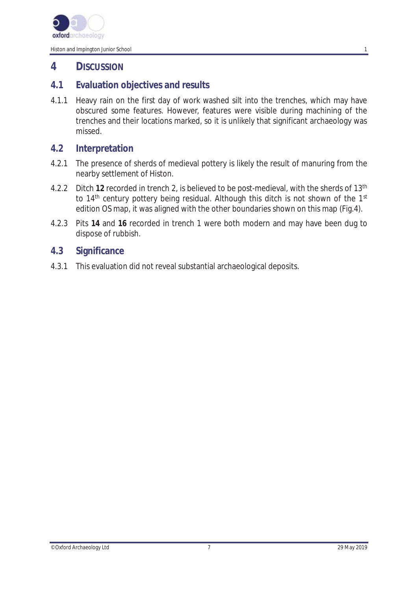

# **4 DISCUSSION**

## **4.1 Evaluation objectives and results**

4.1.1 Heavy rain on the first day of work washed silt into the trenches, which may have obscured some features. However, features were visible during machining of the trenches and their locations marked, so it is unlikely that significant archaeology was missed.

## **4.2 Interpretation**

- 4.2.1 The presence of sherds of medieval pottery is likely the result of manuring from the nearby settlement of Histon.
- 4.2.2 Ditch **12** recorded in trench 2, is believed to be post-medieval, with the sherds of 13th to 14<sup>th</sup> century pottery being residual. Although this ditch is not shown of the 1<sup>st</sup> edition OS map, it was aligned with the other boundaries shown on this map (Fig.4).
- 4.2.3 Pits **14** and **16** recorded in trench 1 were both modern and may have been dug to dispose of rubbish.

## **4.3 Significance**

4.3.1 This evaluation did not reveal substantial archaeological deposits.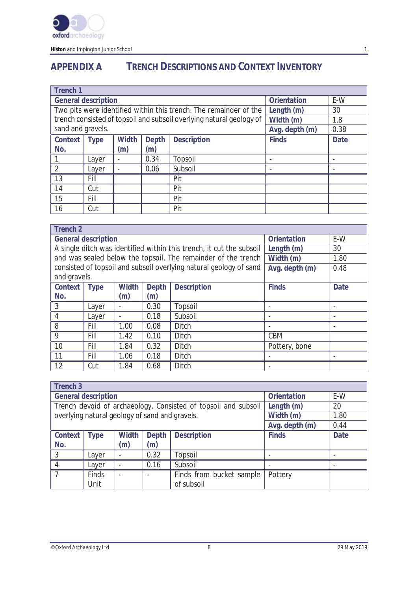

**Histon** and Impington Junior School 1 and 1 and 1 and 1 and 1 and 1 and 1 and 1 and 1 and 1 and 1 and 1 and 1 and 1 and 1 and 1 and 1 and 1 and 1 and 1 and 1 and 1 and 1 and 1 and 1 and 1 and 1 and 1 and 1 and 1 and 1 and

# **APPENDIX A TRENCH DESCRIPTIONS AND CONTEXT INVENTORY**

| <b>Trench 1</b>            |             |              |              |                                                                      |                |             |
|----------------------------|-------------|--------------|--------------|----------------------------------------------------------------------|----------------|-------------|
| <b>General description</b> |             |              |              | <b>Orientation</b>                                                   | E-W            |             |
|                            |             |              |              | Two pits were identified within this trench. The remainder of the    | Length (m)     | 30          |
|                            |             |              |              | trench consisted of topsoil and subsoil overlying natural geology of | Width (m)      | 1.8         |
| sand and gravels.          |             |              |              |                                                                      | Avg. depth (m) | 0.38        |
| Context                    | <b>Type</b> | <b>Width</b> | <b>Depth</b> | <b>Description</b>                                                   | <b>Finds</b>   | <b>Date</b> |
| No.                        |             | (m)          | (m)          |                                                                      |                |             |
|                            | Layer       |              | 0.34         | Topsoil                                                              |                |             |
| $\overline{2}$             | Layer       |              | 0.06         | Subsoil                                                              |                |             |
| 13                         | Fill        |              |              | Pit                                                                  |                |             |
| 14                         | Cut         |              |              | Pit                                                                  |                |             |
| 15                         | Fill        |              |              | Pit                                                                  |                |             |
| 16                         | Cut         |              |              | Pit                                                                  |                |             |

| <b>Trench 2</b> |                                                         |                          |              |                                                                      |                |      |  |  |
|-----------------|---------------------------------------------------------|--------------------------|--------------|----------------------------------------------------------------------|----------------|------|--|--|
|                 | <b>Orientation</b><br><b>General description</b><br>E-W |                          |              |                                                                      |                |      |  |  |
|                 |                                                         |                          |              | A single ditch was identified within this trench, it cut the subsoil | Length (m)     | 30   |  |  |
|                 |                                                         |                          |              | and was sealed below the topsoil. The remainder of the trench        | Width (m)      | 1.80 |  |  |
|                 |                                                         |                          |              | consisted of topsoil and subsoil overlying natural geology of sand   | Avg. depth (m) | 0.48 |  |  |
| and gravels.    |                                                         |                          |              |                                                                      |                |      |  |  |
| Context         | <b>Type</b>                                             | <b>Width</b>             | <b>Depth</b> | <b>Description</b>                                                   | <b>Finds</b>   | Date |  |  |
| No.             |                                                         | (m)                      | (m)          |                                                                      |                |      |  |  |
| 3               | Layer                                                   | $\overline{\phantom{a}}$ | 0.30         | Topsoil                                                              |                |      |  |  |
| 4               | Layer                                                   | $\overline{\phantom{a}}$ | 0.18         | Subsoil                                                              |                |      |  |  |
| 8               | Fill                                                    | 1.00                     | 0.08         | Ditch                                                                |                |      |  |  |
| 9               | Fill                                                    | 1.42                     | 0.10         | <b>Ditch</b>                                                         | <b>CBM</b>     |      |  |  |
| 10              | Fill                                                    | 1.84                     | 0.32         | Ditch                                                                | Pottery, bone  |      |  |  |
| 11              | Fill                                                    | 1.06                     | 0.18         | <b>Ditch</b>                                                         |                |      |  |  |
| 12              | Cut                                                     | 1.84                     | 0.68         | Ditch                                                                |                |      |  |  |

| Trench <sub>3</sub>                            |                            |                          |              |                                                                |                  |             |
|------------------------------------------------|----------------------------|--------------------------|--------------|----------------------------------------------------------------|------------------|-------------|
|                                                | <b>General description</b> |                          |              | <b>Orientation</b>                                             | E-W              |             |
|                                                |                            |                          |              | Trench devoid of archaeology. Consisted of topsoil and subsoil | Length (m)<br>20 |             |
| overlying natural geology of sand and gravels. |                            |                          |              |                                                                | Width (m)        | 1.80        |
|                                                |                            |                          |              |                                                                | Avg. depth (m)   | 0.44        |
| <b>Context</b>                                 | <b>Type</b>                | <b>Width</b>             | <b>Depth</b> | <b>Description</b>                                             | <b>Finds</b>     | <b>Date</b> |
| No.                                            |                            | (m)                      | (m)          |                                                                |                  |             |
| 3                                              | Layer                      | $\overline{\phantom{a}}$ | 0.32         | Topsoil                                                        |                  |             |
|                                                | Layer                      | $\overline{\phantom{a}}$ | 0.16         | Subsoil                                                        |                  |             |
|                                                | <b>Finds</b>               | $\blacksquare$           |              | Finds from bucket sample                                       | Pottery          |             |
|                                                | Unit                       |                          |              | of subsoil                                                     |                  |             |

©Oxford Archaeology Ltd 8 29 May 2019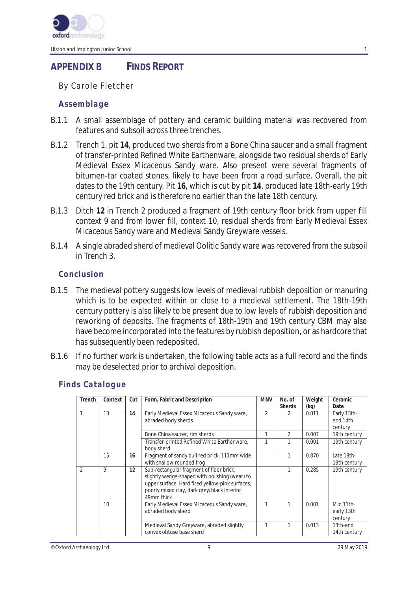

# **APPENDIX B FINDS REPORT**

*By Carole Fletcher* 

#### *Assemblage*

- B.1.1 A small assemblage of pottery and ceramic building material was recovered from features and subsoil across three trenches.
- B.1.2 Trench 1, pit **14**, produced two sherds from a Bone China saucer and a small fragment of transfer-printed Refined White Earthenware, alongside two residual sherds of Early Medieval Essex Micaceous Sandy ware. Also present were several fragments of bitumen-tar coated stones, likely to have been from a road surface. Overall, the pit dates to the 19th century. Pit **16**, which is cut by pit **14**, produced late 18th-early 19th century red brick and is therefore no earlier than the late 18th century.
- B.1.3 Ditch **12** in Trench 2 produced a fragment of 19th century floor brick from upper fill context 9 and from lower fill, context 10, residual sherds from Early Medieval Essex Micaceous Sandy ware and Medieval Sandy Greyware vessels.
- B.1.4 A single abraded sherd of medieval Oolitic Sandy ware was recovered from the subsoil in Trench 3.

#### *Conclusion*

- B.1.5 The medieval pottery suggests low levels of medieval rubbish deposition or manuring which is to be expected within or close to a medieval settlement. The 18th-19th century pottery is also likely to be present due to low levels of rubbish deposition and reworking of deposits. The fragments of 18th-19th and 19th century CBM may also have become incorporated into the features by rubbish deposition, or as hardcore that has subsequently been redeposited.
- B.1.6 If no further work is undertaken, the following table acts as a full record and the finds may be deselected prior to archival deposition.

| Trench         | Context | Cut | Form, Fabric and Description                                                                                                                                                                                | <b>MNV</b>     | No. of<br><b>Sherds</b> | Weight<br>(kg) | Ceramic<br>Date                    |
|----------------|---------|-----|-------------------------------------------------------------------------------------------------------------------------------------------------------------------------------------------------------------|----------------|-------------------------|----------------|------------------------------------|
|                | 13      | 14  | Early Medieval Essex Micaceous Sandy ware,<br>abraded body sherds                                                                                                                                           | $\overline{2}$ | $\mathfrak{D}$          | 0.011          | Early 13th-<br>end 14th<br>century |
|                |         |     | Bone China saucer, rim sherds                                                                                                                                                                               |                | $\mathfrak{D}$          | 0.007          | 19th century                       |
|                |         |     | Transfer-printed Refined White Earthenware,<br>body sherd                                                                                                                                                   |                | 1                       | 0.001          | 19th century                       |
|                | 15      | 16  | Fragment of sandy dull red brick, 111mm wide<br>with shallow rounded frog                                                                                                                                   |                |                         | 0.870          | Late 18th-<br>19th century         |
| $\mathfrak{D}$ | 9       | 12  | Sub-rectangular fragment of floor brick,<br>slightly wedge-shaped with polishing (wear) to<br>upper surface. Hard fired yellow-pink surfaces,<br>poorly mixed clay, dark grey/black interior.<br>49mm thick |                |                         | 0.285          | 19th century                       |
|                | 10      |     | Early Medieval Essex Micaceous Sandy ware,<br>abraded body sherd                                                                                                                                            |                |                         | 0.001          | Mid 11th-<br>early 13th<br>century |
|                |         |     | Medieval Sandy Greyware, abraded slightly<br>convex obtuse base sherd                                                                                                                                       |                |                         | 0.013          | 13th-end<br>14th century           |

#### *Finds Catalogue*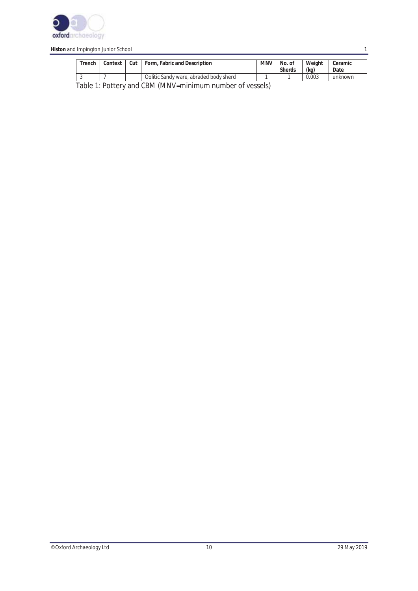

| Trench                                                                | Context | Cut | Form, Fabric and Description           | <b>MNV</b> | No. of<br><b>Sherds</b> | Weight<br>(kg) | Ceramic<br>Date |
|-----------------------------------------------------------------------|---------|-----|----------------------------------------|------------|-------------------------|----------------|-----------------|
|                                                                       |         |     | Oolitic Sandy ware, abraded body sherd |            |                         | 0.003          | unknown         |
| $T$ alala 1. Dattamianal CDM (MANN) paining unua munda on africanala) |         |     |                                        |            |                         |                |                 |

Table 1: Pottery and CBM (MNV=minimum number of vessels)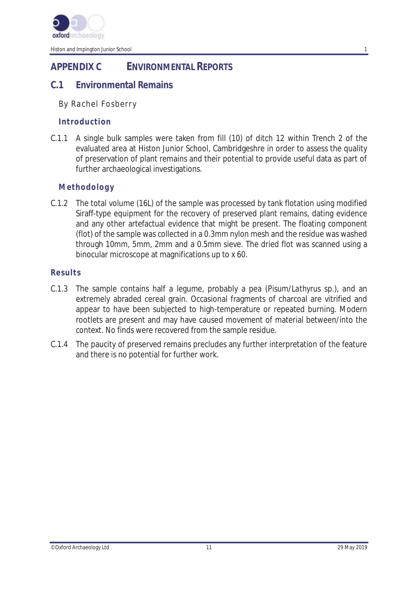

# **APPENDIX C ENVIRONMENTAL REPORTS**

## **C.1 Environmental Remains**

#### *By Rachel Fosberry*

#### *Introduction*

C.1.1 A single bulk samples were taken from fill (10) of ditch 12 within Trench 2 of the evaluated area at Histon Junior School, Cambridgeshre in order to assess the quality of preservation of plant remains and their potential to provide useful data as part of further archaeological investigations.

#### *Methodology*

C.1.2 The total volume (16L) of the sample was processed by tank flotation using modified Siraff-type equipment for the recovery of preserved plant remains, dating evidence and any other artefactual evidence that might be present. The floating component (flot) of the sample was collected in a 0.3mm nylon mesh and the residue was washed through 10mm, 5mm, 2mm and a 0.5mm sieve. The dried flot was scanned using a binocular microscope at magnifications up to x 60.

#### *Results*

- C.1.3 The sample contains half a legume, probably a pea (*Pisum/Lathyrus* sp.), and an extremely abraded cereal grain. Occasional fragments of charcoal are vitrified and appear to have been subjected to high-temperature or repeated burning. Modern rootlets are present and may have caused movement of material between/into the context. No finds were recovered from the sample residue.
- C.1.4 The paucity of preserved remains precludes any further interpretation of the feature and there is no potential for further work.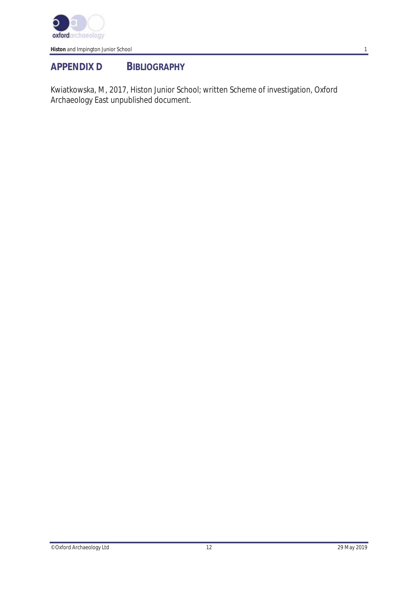

# **APPENDIX D BIBLIOGRAPHY**

Kwiatkowska, M, 2017, Histon Junior School; written Scheme of investigation, Oxford Archaeology East unpublished document.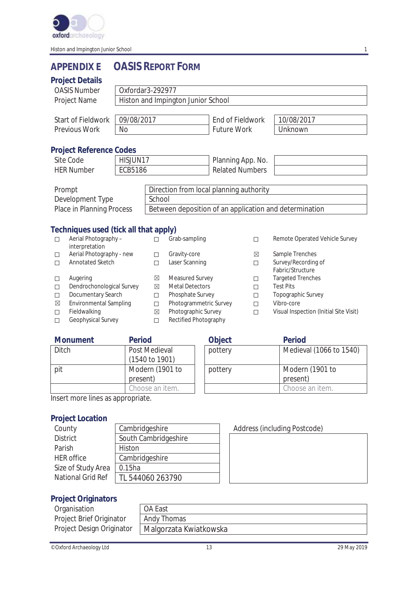

# **APPENDIX E OASIS REPORT FORM**

#### **Project Details**

|                       | Project Details                        |                                    |                                         |                                                        |                        |                     |                                              |  |
|-----------------------|----------------------------------------|------------------------------------|-----------------------------------------|--------------------------------------------------------|------------------------|---------------------|----------------------------------------------|--|
|                       | <b>OASIS Number</b>                    | Oxfordar3-292977                   |                                         |                                                        |                        |                     |                                              |  |
|                       | Project Name                           | Histon and Impington Junior School |                                         |                                                        |                        |                     |                                              |  |
|                       |                                        |                                    |                                         |                                                        |                        |                     |                                              |  |
|                       | Start of Fieldwork                     | 09/08/2017                         |                                         |                                                        | End of Fieldwork       |                     | 10/08/2017                                   |  |
|                       | Previous Work                          | <b>No</b>                          |                                         |                                                        | <b>Future Work</b>     |                     | Unknown                                      |  |
|                       |                                        |                                    |                                         |                                                        |                        |                     |                                              |  |
|                       | <b>Project Reference Codes</b>         |                                    |                                         |                                                        |                        |                     |                                              |  |
|                       | Site Code                              | HISJUN17                           |                                         |                                                        | Planning App. No.      |                     |                                              |  |
|                       | <b>HER Number</b>                      | <b>ECB5186</b>                     |                                         |                                                        | <b>Related Numbers</b> |                     |                                              |  |
|                       |                                        |                                    |                                         |                                                        |                        |                     |                                              |  |
|                       | Prompt                                 |                                    | Direction from local planning authority |                                                        |                        |                     |                                              |  |
|                       | Development Type                       |                                    |                                         | School                                                 |                        |                     |                                              |  |
|                       | Place in Planning Process              |                                    |                                         | Between deposition of an application and determination |                        |                     |                                              |  |
|                       |                                        |                                    |                                         |                                                        |                        |                     |                                              |  |
|                       | Techniques used (tick all that apply)  |                                    |                                         |                                                        |                        |                     |                                              |  |
| □                     | Aerial Photography -<br>interpretation |                                    | П                                       | Grab-sampling                                          |                        | □                   | Remote Operated Vehicle Survey               |  |
| $\Box$                | Aerial Photography - new               | Gravity-core<br>П                  |                                         |                                                        | ⊠                      | Sample Trenches     |                                              |  |
| Annotated Sketch<br>П |                                        | П                                  | Laser Scanning<br>П                     |                                                        |                        | Survey/Recording of |                                              |  |
|                       |                                        |                                    |                                         |                                                        |                        |                     | Fabric/Structure                             |  |
| $\Box$                | Augering                               |                                    | ⊠<br>$\boxtimes$                        | Measured Survey<br><b>Metal Detectors</b>              |                        | П                   | <b>Targeted Trenches</b><br><b>Test Pits</b> |  |
| $\Box$<br>П           | Dendrochonological Survey              |                                    | п                                       | Phosphate Survey                                       |                        | П<br>П              | Topographic Survey                           |  |
|                       | Documentary Search                     |                                    |                                         |                                                        |                        |                     |                                              |  |

□ Documentary Search □ Phosphate Survey □ Topographic Survey □ Topographic Survey □ Topographic Survey □ Topographic Survey □ Topographic Survey □ Topographic Survey □ Topographic Survey □ Topographic Survey □ Topographic

⊠ Environmental Sampling □ Photogrammetric Survey □<br>□ Fieldwalking Photographic Survey □

Fieldwalking <u>and Electified Photographic Survey </u> <del></del> <del></del> Uisual Inspection (Initial Site Visit) Geophysical Survey □ Rectified Photography

| <b>Monument</b> | <b>Period</b>                              | <b>Object</b> | Period            |
|-----------------|--------------------------------------------|---------------|-------------------|
| <b>Ditch</b>    | Post Medieval<br>$(1540 \text{ to } 1901)$ | pottery       | Medieva           |
| pit             | Modern (1901 to<br>present)                | pottery       | Modern<br>present |

☐ Geophysical Survey ☐ Rectified Photography

Choose an item.

| Object  | <b>Period</b>           |
|---------|-------------------------|
| pottery | Medieval (1066 to 1540) |
|         |                         |
| pottery | Modern (1901 to         |
|         | present)                |
|         | Choose an item.         |

Insert more lines as appropriate.

#### **Project Location**

| County             | Cambridgeshire       |
|--------------------|----------------------|
| <b>District</b>    | South Cambridgeshire |
| Parish             | Histon               |
| <b>HER</b> office  | Cambridgeshire       |
| Size of Study Area | 0.15ha               |
| National Grid Ref  | TL 544060 263790     |

#### Address (including Postcode)

#### **Project Originators**

| Organisation              | OA East                |
|---------------------------|------------------------|
| Project Brief Originator  | Andy Thomas            |
| Project Design Originator | Malgorzata Kwiatkowska |

| OA East                |  |
|------------------------|--|
| Andy Thomas            |  |
| Malgorzata Kwiatkowska |  |

©Oxford Archaeology Ltd 13 29 May 2019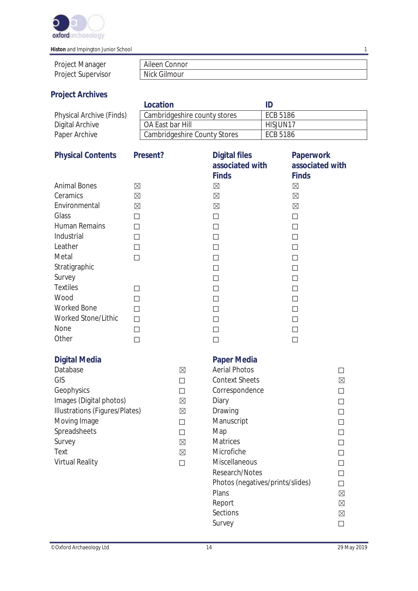

| <b>Project Manager</b>    | Aileen Connor |
|---------------------------|---------------|
| <b>Project Supervisor</b> | Nick Gilmour  |

# **Project Archives**

|                          | Location                     |          |
|--------------------------|------------------------------|----------|
| Physical Archive (Finds) | Cambridgeshire county stores | ECB 5186 |
| Digital Archive          | OA East bar Hill             | HISJUN17 |
| Paper Archive            | Cambridgeshire County Stores | ECB 5186 |

| <b>Physical Contents</b>       | Present?    |             | <b>Digital files</b><br>associated with<br><b>Finds</b> | <b>Paperwork</b><br>associated with<br><b>Finds</b> |             |
|--------------------------------|-------------|-------------|---------------------------------------------------------|-----------------------------------------------------|-------------|
| <b>Animal Bones</b>            | $\boxtimes$ |             | $\boxtimes$                                             | $\boxtimes$                                         |             |
| Ceramics                       | $\boxtimes$ |             | $\boxtimes$                                             | $\boxtimes$                                         |             |
| Environmental                  | $\boxtimes$ |             | $\boxtimes$                                             | $\boxtimes$                                         |             |
| Glass                          | $\Box$      |             | □                                                       | $\Box$                                              |             |
| Human Remains                  | $\Box$      |             | □                                                       | □                                                   |             |
| Industrial                     | $\Box$      |             | $\Box$                                                  | $\Box$                                              |             |
| Leather                        | $\Box$      |             | $\Box$                                                  | $\Box$                                              |             |
| Metal                          | $\Box$      |             | $\Box$                                                  | $\Box$                                              |             |
| Stratigraphic                  |             |             | □                                                       | □                                                   |             |
| Survey                         |             |             | $\Box$                                                  | $\Box$                                              |             |
| <b>Textiles</b>                | П           |             | □                                                       | П                                                   |             |
| Wood                           | $\Box$      |             | $\Box$                                                  | $\Box$                                              |             |
| <b>Worked Bone</b>             | П           |             | $\Box$                                                  | $\Box$                                              |             |
| Worked Stone/Lithic            | П           |             | □                                                       | П                                                   |             |
| None                           | $\Box$      |             | $\Box$                                                  | $\Box$                                              |             |
| Other                          | $\Box$      |             | $\Box$                                                  | $\Box$                                              |             |
| <b>Digital Media</b>           |             |             | <b>Paper Media</b>                                      |                                                     |             |
| Database                       |             | $\boxtimes$ | <b>Aerial Photos</b>                                    |                                                     | □           |
| GIS                            |             | $\Box$      | <b>Context Sheets</b>                                   |                                                     | $\boxtimes$ |
| Geophysics                     |             | $\Box$      | Correspondence                                          |                                                     | $\Box$      |
| Images (Digital photos)        |             | $\boxtimes$ | Diary                                                   |                                                     | $\Box$      |
| Illustrations (Figures/Plates) |             | $\boxtimes$ | Drawing                                                 |                                                     | □           |
| Moving Image                   |             | $\Box$      | Manuscript                                              |                                                     | П           |
| Spreadsheets                   |             | $\Box$      | Map                                                     |                                                     | $\Box$      |
| Survey                         |             | $\boxtimes$ | Matrices                                                |                                                     | $\Box$      |
| Text                           |             | $\boxtimes$ | Microfiche                                              |                                                     | $\Box$      |
| Virtual Reality                |             | $\Box$      | Miscellaneous                                           |                                                     | $\Box$      |
|                                |             |             | Research/Notes<br>Photos (negatives/prints/slides)      |                                                     | □           |
|                                |             |             |                                                         |                                                     | □           |
|                                |             |             | Plans                                                   |                                                     | $\boxtimes$ |
|                                |             |             | Report                                                  |                                                     | $\boxtimes$ |
|                                |             |             | Sections                                                |                                                     | $\boxtimes$ |

Survey  $\square$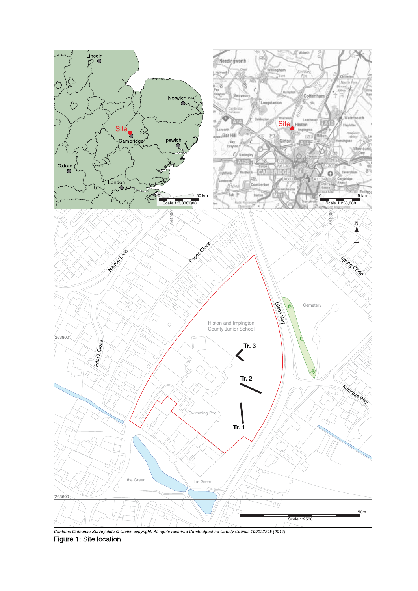

Contains Ordnance Survey data @ Crown copyright. All rights reserved Cambridgeshire County Council 100023205 [2017] Figure 1: Site location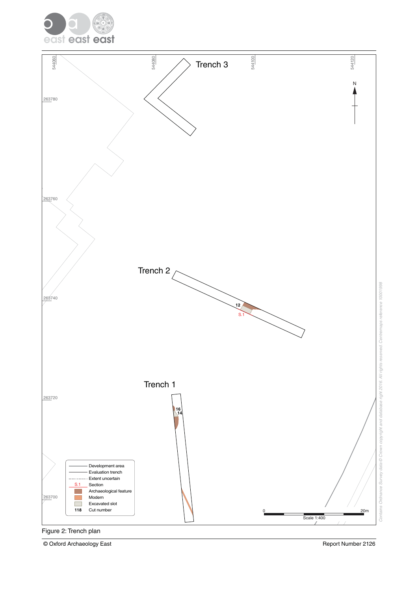



© Oxford Archaeology East Report Number 2126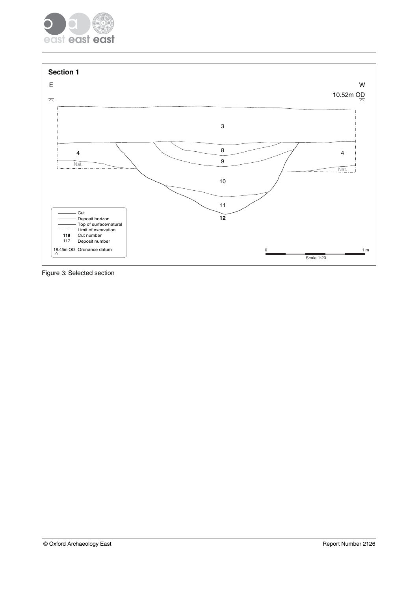



Figure 3: Selected section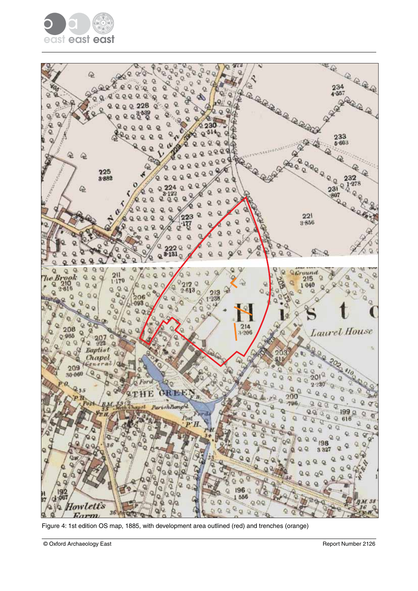



Figure 4: 1st edition OS map, 1885, with development area outlined (red) and trenches (orange)